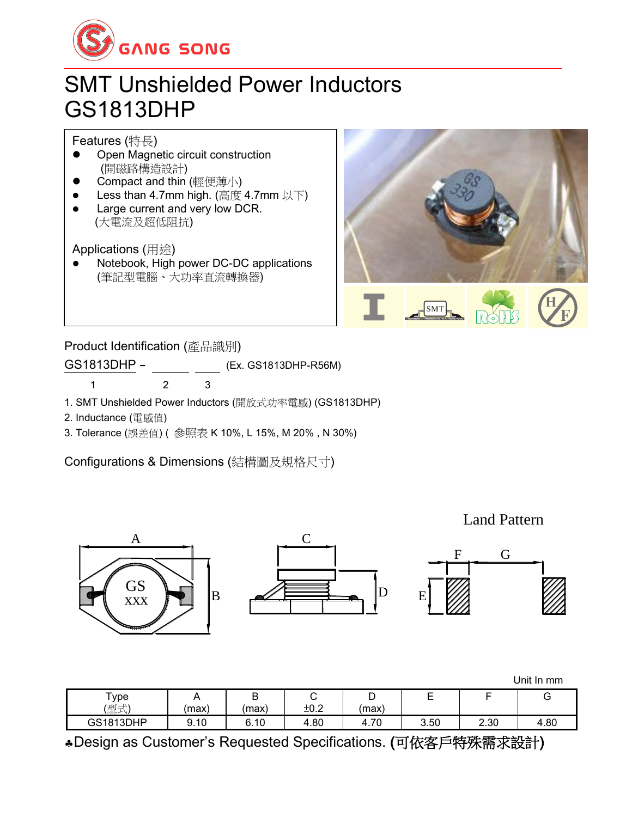

## SMT Unshielded Power Inductors GS1813DHP

Features (特長)

- ⚫ Open Magnetic circuit construction (開磁路構造設計)
- ⚫ Compact and thin (輕便薄小)
- Less than 4.7mm high. (高度 4.7mm 以下)
- ⚫ Large current and very low DCR. (大電流及超低阻抗)

Applications (用途)

⚫ Notebook, High power DC-DC applications (筆記型電腦、大功率直流轉換器)



Product Identification (產品識別)

GS1813DHP - (Ex. GS1813DHP-R56M)

1 2 3

1. SMT Unshielded Power Inductors (開放式功率電感) (GS1813DHP)

2. Inductance (電感值)

3. Tolerance (誤差值) ( 參照表 K 10%, L 15%, M 20% , N 30%)

Configurations & Dimensions (結構圖及規格尺寸)

Land Pattern

G



Unit In mm

| $\tau_{\text{ype}}$<br>(型式) | (max) | -<br>(max) | ັ<br>±0.2 | -<br>(max) | -    |      |      |
|-----------------------------|-------|------------|-----------|------------|------|------|------|
| GS1813DHP                   | 9.10  | 6.10       | 4.80      | 70<br>4.IV | 3.50 | 2.30 | 4.80 |

Design as Customer's Requested Specifications. (可依客戶特殊需求設計)